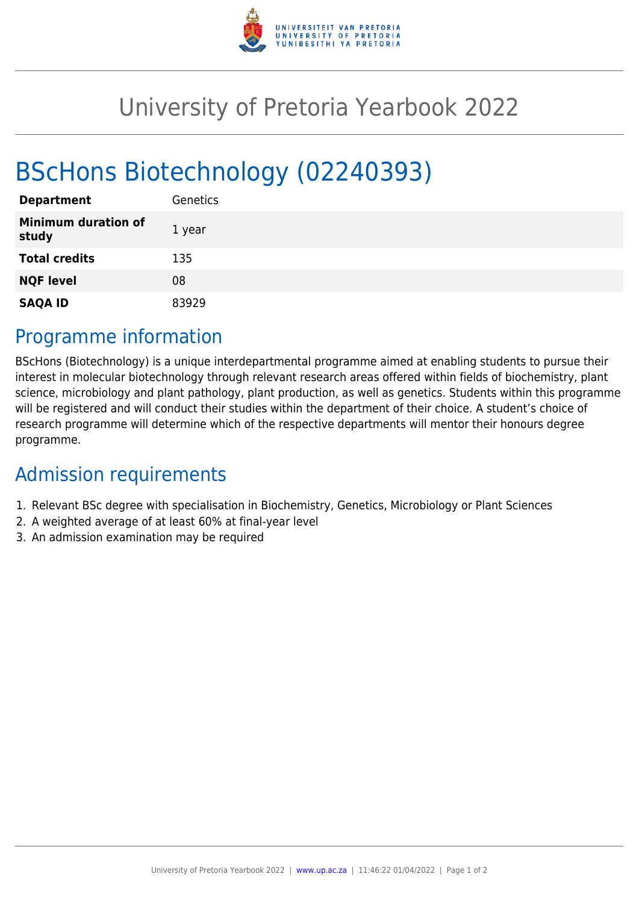

## University of Pretoria Yearbook 2022

# BScHons Biotechnology (02240393)

| <b>Department</b>                   | Genetics |
|-------------------------------------|----------|
| <b>Minimum duration of</b><br>study | 1 year   |
| <b>Total credits</b>                | 135      |
| <b>NQF level</b>                    | 08       |
| <b>SAQA ID</b>                      | 83929    |

### Programme information

BScHons (Biotechnology) is a unique interdepartmental programme aimed at enabling students to pursue their interest in molecular biotechnology through relevant research areas offered within fields of biochemistry, plant science, microbiology and plant pathology, plant production, as well as genetics. Students within this programme will be registered and will conduct their studies within the department of their choice. A student's choice of research programme will determine which of the respective departments will mentor their honours degree programme.

### Admission requirements

- 1. Relevant BSc degree with specialisation in Biochemistry, Genetics, Microbiology or Plant Sciences
- 2. A weighted average of at least 60% at final-year level
- 3. An admission examination may be required